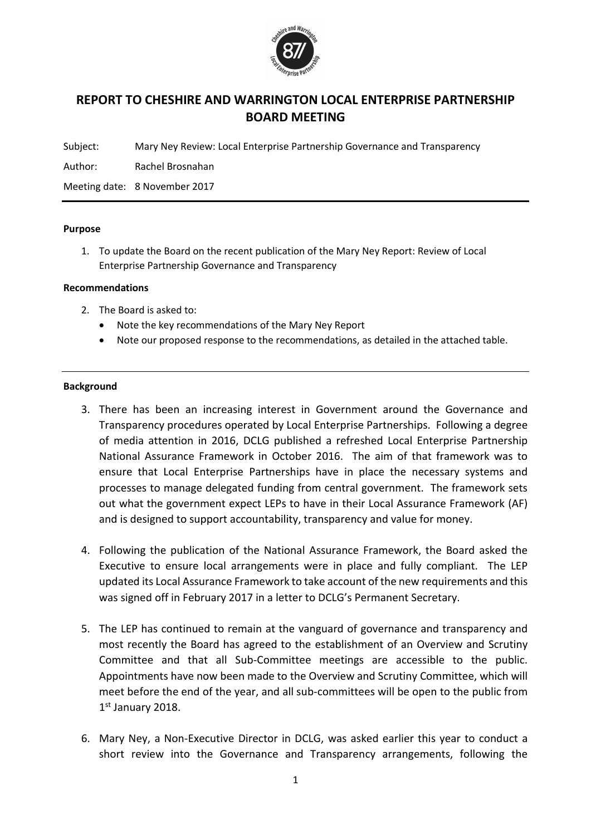

# REPORT TO CHESHIRE AND WARRINGTON LOCAL ENTERPRISE PARTNERSHIP BOARD MEETING

Subject: Mary Ney Review: Local Enterprise Partnership Governance and Transparency

Author: Rachel Brosnahan

Meeting date: 8 November 2017

#### Purpose

1. To update the Board on the recent publication of the Mary Ney Report: Review of Local Enterprise Partnership Governance and Transparency

#### Recommendations

- 2. The Board is asked to:
	- Note the key recommendations of the Mary Ney Report
	- Note our proposed response to the recommendations, as detailed in the attached table.

#### **Background**

- 3. There has been an increasing interest in Government around the Governance and Transparency procedures operated by Local Enterprise Partnerships. Following a degree of media attention in 2016, DCLG published a refreshed Local Enterprise Partnership National Assurance Framework in October 2016. The aim of that framework was to ensure that Local Enterprise Partnerships have in place the necessary systems and processes to manage delegated funding from central government. The framework sets out what the government expect LEPs to have in their Local Assurance Framework (AF) and is designed to support accountability, transparency and value for money.
- 4. Following the publication of the National Assurance Framework, the Board asked the Executive to ensure local arrangements were in place and fully compliant. The LEP updated its Local Assurance Framework to take account of the new requirements and this was signed off in February 2017 in a letter to DCLG's Permanent Secretary.
- 5. The LEP has continued to remain at the vanguard of governance and transparency and most recently the Board has agreed to the establishment of an Overview and Scrutiny Committee and that all Sub-Committee meetings are accessible to the public. Appointments have now been made to the Overview and Scrutiny Committee, which will meet before the end of the year, and all sub-committees will be open to the public from 1st January 2018.
- 6. Mary Ney, a Non-Executive Director in DCLG, was asked earlier this year to conduct a short review into the Governance and Transparency arrangements, following the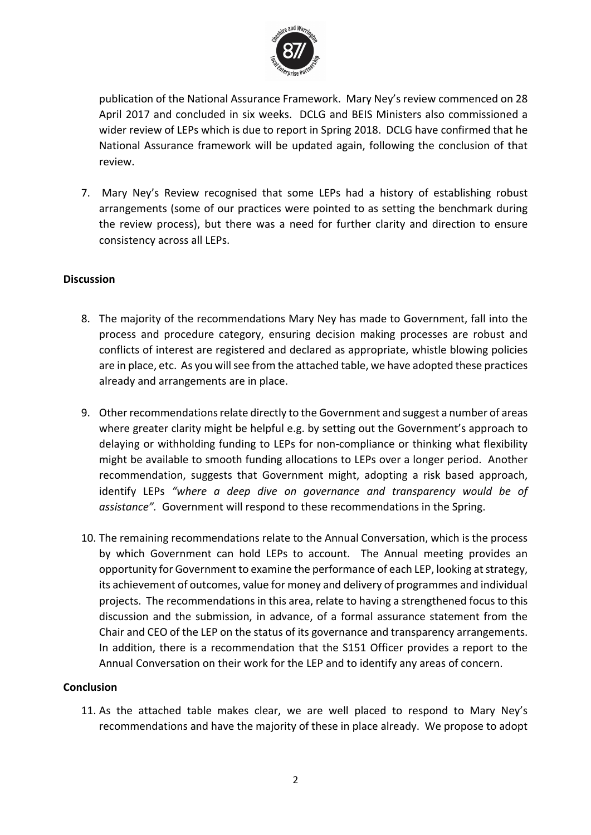

publication of the National Assurance Framework. Mary Ney's review commenced on 28 April 2017 and concluded in six weeks. DCLG and BEIS Ministers also commissioned a wider review of LEPs which is due to report in Spring 2018. DCLG have confirmed that he National Assurance framework will be updated again, following the conclusion of that review.

7. Mary Ney's Review recognised that some LEPs had a history of establishing robust arrangements (some of our practices were pointed to as setting the benchmark during the review process), but there was a need for further clarity and direction to ensure consistency across all LEPs.

## Discussion

- 8. The majority of the recommendations Mary Ney has made to Government, fall into the process and procedure category, ensuring decision making processes are robust and conflicts of interest are registered and declared as appropriate, whistle blowing policies are in place, etc. As you will see from the attached table, we have adopted these practices already and arrangements are in place.
- 9. Other recommendations relate directly to the Government and suggest a number of areas where greater clarity might be helpful e.g. by setting out the Government's approach to delaying or withholding funding to LEPs for non-compliance or thinking what flexibility might be available to smooth funding allocations to LEPs over a longer period. Another recommendation, suggests that Government might, adopting a risk based approach, identify LEPs *"where a deep dive on governance and transparency would be of assistance".* Government will respond to these recommendations in the Spring.
- 10. The remaining recommendations relate to the Annual Conversation, which is the process by which Government can hold LEPs to account. The Annual meeting provides an opportunity for Government to examine the performance of each LEP, looking at strategy, its achievement of outcomes, value for money and delivery of programmes and individual projects. The recommendations in this area, relate to having a strengthened focus to this discussion and the submission, in advance, of a formal assurance statement from the Chair and CEO of the LEP on the status of its governance and transparency arrangements. In addition, there is a recommendation that the S151 Officer provides a report to the Annual Conversation on their work for the LEP and to identify any areas of concern.

### **Conclusion**

11. As the attached table makes clear, we are well placed to respond to Mary Ney's recommendations and have the majority of these in place already. We propose to adopt